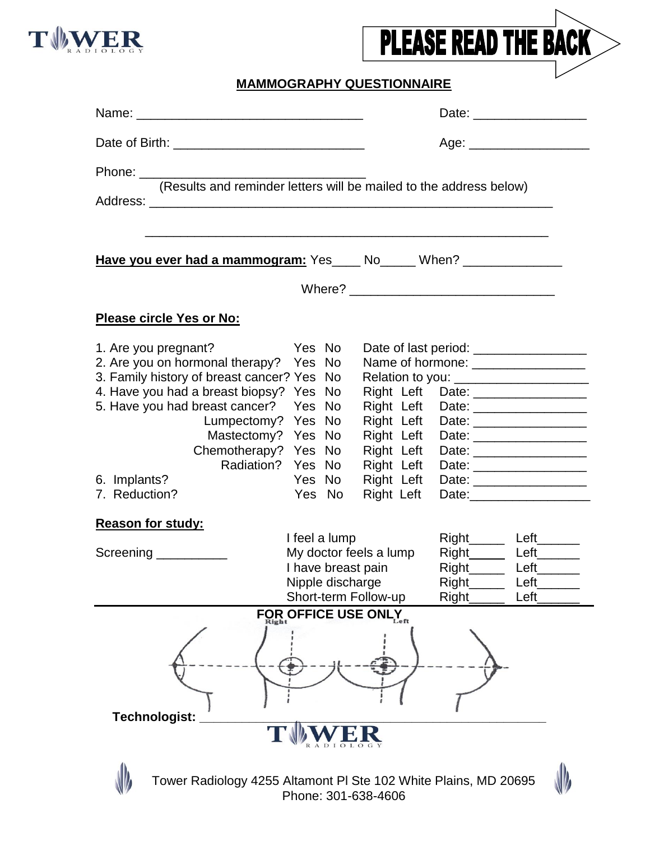



## **MAMMOGRAPHY QUESTIONNAIRE**

|                                                                                                                                                                                                                                                                                                                                                                                                                                                                                                                  | Age: _____________________                                                                                                                                                                                                                                                                                                                                                                                       |
|------------------------------------------------------------------------------------------------------------------------------------------------------------------------------------------------------------------------------------------------------------------------------------------------------------------------------------------------------------------------------------------------------------------------------------------------------------------------------------------------------------------|------------------------------------------------------------------------------------------------------------------------------------------------------------------------------------------------------------------------------------------------------------------------------------------------------------------------------------------------------------------------------------------------------------------|
|                                                                                                                                                                                                                                                                                                                                                                                                                                                                                                                  |                                                                                                                                                                                                                                                                                                                                                                                                                  |
| <b>Have you ever had a mammogram:</b> Yes _____ No______ When? ________________________                                                                                                                                                                                                                                                                                                                                                                                                                          |                                                                                                                                                                                                                                                                                                                                                                                                                  |
|                                                                                                                                                                                                                                                                                                                                                                                                                                                                                                                  |                                                                                                                                                                                                                                                                                                                                                                                                                  |
| <b>Please circle Yes or No:</b>                                                                                                                                                                                                                                                                                                                                                                                                                                                                                  |                                                                                                                                                                                                                                                                                                                                                                                                                  |
| 1. Are you pregnant?<br>Yes No<br>2. Are you on hormonal therapy?<br>Yes No<br>3. Family history of breast cancer? Yes No<br>4. Have you had a breast biopsy?<br>Yes No<br>5. Have you had breast cancer?<br>Yes No<br>Lumpectomy? Yes No<br>Mastectomy?<br>Yes No<br>Chemotherapy? Yes No<br>Radiation?<br>Yes No<br>6. Implants?<br>Yes No<br>7. Reduction?<br>Yes No<br><b>Reason for study:</b><br>I feel a lump<br>My doctor feels a lump<br>Screening __________<br>I have breast pain<br>Nipple discharge | Date of last period: ___________________<br>Name of hormone: ___________________<br>Relation to you: _______________________<br>Right Left<br>Right Left<br>Date: _______________________<br>Right Left<br>Right Left<br>Right Left<br>Date: __________________<br>Right Left<br>Right Left<br>Right Left<br>Right_______ Left_______<br>Right_______ Left_______<br>Right________ Left________<br>Left<br>Right |
| Short-term Follow-up                                                                                                                                                                                                                                                                                                                                                                                                                                                                                             | Right<br>Left                                                                                                                                                                                                                                                                                                                                                                                                    |
| FOR OFFICE USE ONLY<br>Technologist:                                                                                                                                                                                                                                                                                                                                                                                                                                                                             |                                                                                                                                                                                                                                                                                                                                                                                                                  |
| Tower Radiology 4255 Altamont PI Ste 102 White Plains, MD 20695<br>$0.20 \pm 0.00$                                                                                                                                                                                                                                                                                                                                                                                                                               |                                                                                                                                                                                                                                                                                                                                                                                                                  |

Tower Radiology 4255 Altamont Pl Ste 102 White Plains, MD 20695 Phone: 301-638-4606